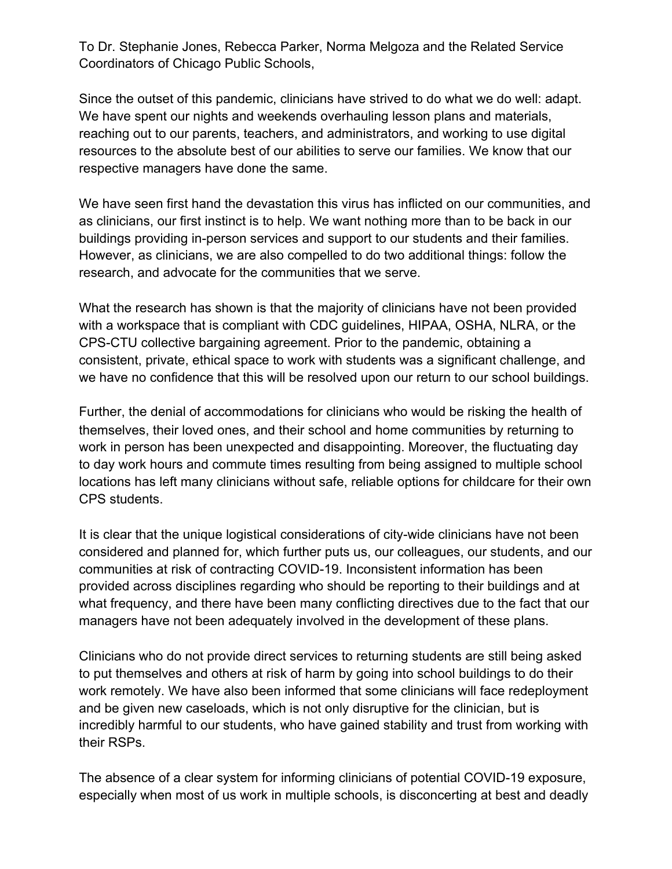To Dr. Stephanie Jones, Rebecca Parker, Norma Melgoza and the Related Service Coordinators of Chicago Public Schools,

Since the outset of this pandemic, clinicians have strived to do what we do well: adapt. We have spent our nights and weekends overhauling lesson plans and materials, reaching out to our parents, teachers, and administrators, and working to use digital resources to the absolute best of our abilities to serve our families. We know that our respective managers have done the same.

We have seen first hand the devastation this virus has inflicted on our communities, and as clinicians, our first instinct is to help. We want nothing more than to be back in our buildings providing in-person services and support to our students and their families. However, as clinicians, we are also compelled to do two additional things: follow the research, and advocate for the communities that we serve.

What the research has shown is that the majority of clinicians have not been provided with a workspace that is compliant with CDC guidelines, HIPAA, OSHA, NLRA, or the CPS-CTU collective bargaining agreement. Prior to the pandemic, obtaining a consistent, private, ethical space to work with students was a significant challenge, and we have no confidence that this will be resolved upon our return to our school buildings.

Further, the denial of accommodations for clinicians who would be risking the health of themselves, their loved ones, and their school and home communities by returning to work in person has been unexpected and disappointing. Moreover, the fluctuating day to day work hours and commute times resulting from being assigned to multiple school locations has left many clinicians without safe, reliable options for childcare for their own CPS students.

It is clear that the unique logistical considerations of city-wide clinicians have not been considered and planned for, which further puts us, our colleagues, our students, and our communities at risk of contracting COVID-19. Inconsistent information has been provided across disciplines regarding who should be reporting to their buildings and at what frequency, and there have been many conflicting directives due to the fact that our managers have not been adequately involved in the development of these plans.

Clinicians who do not provide direct services to returning students are still being asked to put themselves and others at risk of harm by going into school buildings to do their work remotely. We have also been informed that some clinicians will face redeployment and be given new caseloads, which is not only disruptive for the clinician, but is incredibly harmful to our students, who have gained stability and trust from working with their RSPs.

The absence of a clear system for informing clinicians of potential COVID-19 exposure, especially when most of us work in multiple schools, is disconcerting at best and deadly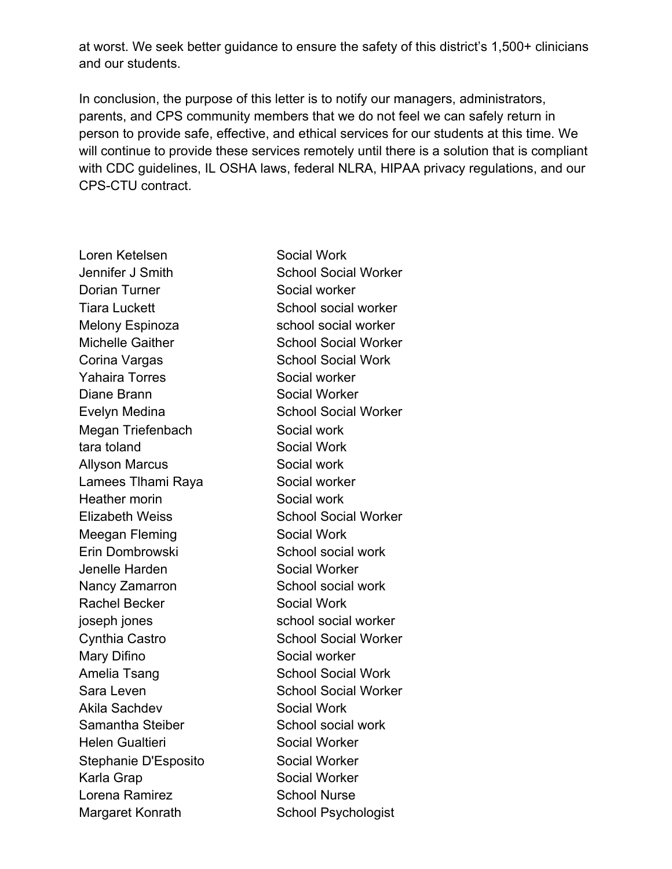at worst. We seek better guidance to ensure the safety of this district's 1,500+ clinicians and our students.

In conclusion, the purpose of this letter is to notify our managers, administrators, parents, and CPS community members that we do not feel we can safely return in person to provide safe, effective, and ethical services for our students at this time. We will continue to provide these services remotely until there is a solution that is compliant with CDC guidelines, IL OSHA laws, federal NLRA, HIPAA privacy regulations, and our CPS-CTU contract.

Loren Ketelsen Social Work Jennifer J Smith School Social Worker Dorian Turner Social worker Tiara Luckett School social worker Melony Espinoza school social worker Michelle Gaither School Social Worker Corina Vargas School Social Work Yahaira Torres Social worker Diane Brann Social Worker Evelyn Medina School Social Worker Megan Triefenbach **Social work** tara toland Social Work Allyson Marcus Social work Lamees Tlhami Raya Social worker Heather morin Social work Elizabeth Weiss School Social Worker Meegan Fleming Social Work Erin Dombrowski School social work Jenelle Harden Social Worker Nancy Zamarron School social work Rachel Becker Social Work joseph jones school social worker Cynthia Castro School Social Worker Mary Difino Social worker Amelia Tsang School Social Work Sara Leven School Social Worker Akila Sachdev Social Work Samantha Steiber School social work Helen Gualtieri Social Worker Stephanie D'Esposito Social Worker Karla Grap Social Worker Lorena Ramirez School Nurse Margaret Konrath School Psychologist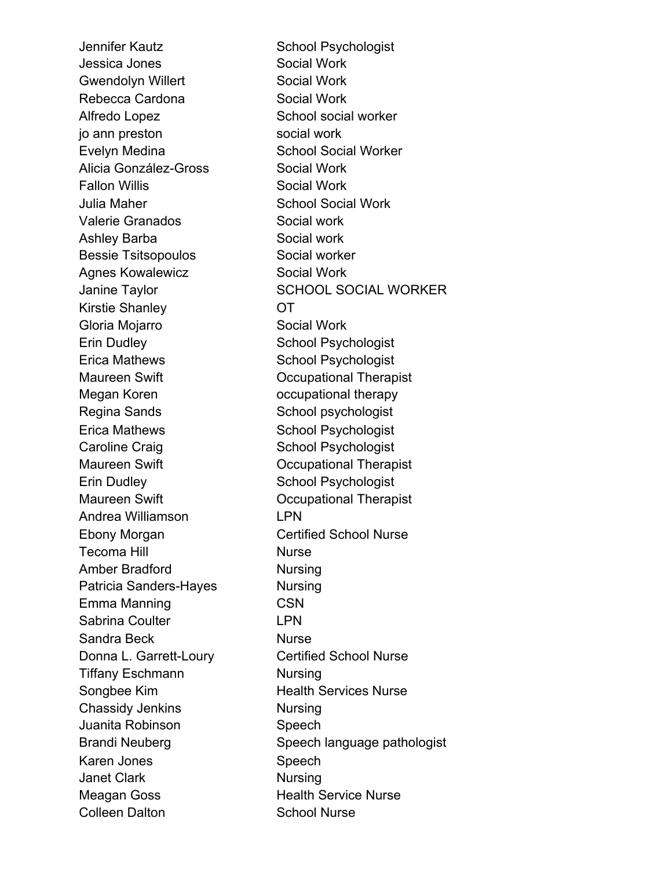Jessica Jones Social Work Gwendolyn Willert **Social Work** Rebecca Cardona Social Work Alfredo Lopez School social worker jo ann preston social work Evelyn Medina School Social Worker Alicia González-Gross Social Work Fallon Willis **Social Work** Julia Maher School Social Work Valerie Granados **Social work** Ashley Barba Social work Bessie Tsitsopoulos Social worker Agnes Kowalewicz **Social Work** Kirstie Shanley **OT** Gloria Mojarro Social Work Erin Dudley School Psychologist Erica Mathews School Psychologist Maureen Swift **Communist** Occupational Therapist Megan Koren **come contract of the Megan Koren** occupational therapy Regina Sands School psychologist Erica Mathews School Psychologist Caroline Craig School Psychologist Maureen Swift **Communist** Occupational Therapist Erin Dudley School Psychologist Maureen Swift **Communist** Occupational Therapist Andrea Williamson LPN Ebony Morgan Certified School Nurse Tecoma Hill **Nurse** Amber Bradford Nursing Patricia Sanders-Hayes Nursing Emma Manning CSN Sabrina Coulter **LPN** Sandra Beck Nurse Donna L. Garrett-Loury Certified School Nurse Tiffany Eschmann Nursing Songbee Kim Health Services Nurse Chassidy Jenkins Nursing Juanita Robinson Speech Karen Jones Speech Janet Clark Nursing Meagan Goss **Health Service Nurse** Colleen Dalton School Nurse

Jennifer Kautz School Psychologist Janine Taylor SCHOOL SOCIAL WORKER Brandi Neuberg Speech language pathologist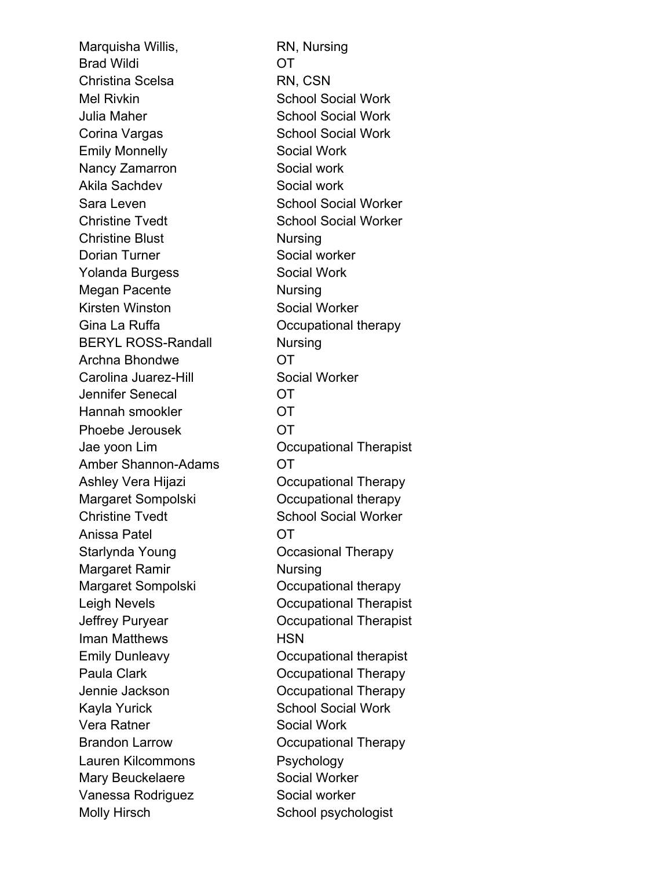Marquisha Willis, RN, Nursing Brad Wildi **OT** Christina Scelsa RN, CSN Mel Rivkin School Social Work Julia Maher **School Social Work** Corina Vargas School Social Work Emily Monnelly **Social Work** Nancy Zamarron Social work Akila Sachdev Social work Sara Leven School Social Worker Christine Tvedt School Social Worker Christine Blust Nursing Dorian Turner Social worker Yolanda Burgess Social Work Megan Pacente Nursing Kirsten Winston Social Worker Gina La Ruffa **Communist Contract Communist Communist Communist Communist Communist Communist Communist Communist Communist Communist Communist Communist Communist Communist Communist Communist Communist Communist Communis** BERYL ROSS-Randall Nursing Archna Bhondwe **OT** Carolina Juarez-Hill Social Worker Jennifer Senecal OT Hannah smookler **OT** Phoebe Jerousek OT Jae yoon Lim Occupational Therapist Amber Shannon-Adams OT Ashley Vera Hijazi **Computer Computer Computer** Occupational Therapy Margaret Sompolski Occupational therapy Christine Tvedt School Social Worker Anissa Patel OT Starlynda Young **COCCASIONAL COCCASIONAL Therapy** Margaret Ramir Nursing Margaret Sompolski Occupational therapy Leigh Nevels **Communist** Occupational Therapist Jeffrey Puryear Occupational Therapist Iman Matthews **HSN** Emily Dunleavy Occupational therapist Paula Clark **December 19 Contract Clark** Occupational Therapy Jennie Jackson Occupational Therapy Kayla Yurick School Social Work Vera Ratner Social Work Brandon Larrow Occupational Therapy Lauren Kilcommons Psychology Mary Beuckelaere Social Worker Vanessa Rodriguez Social worker Molly Hirsch School psychologist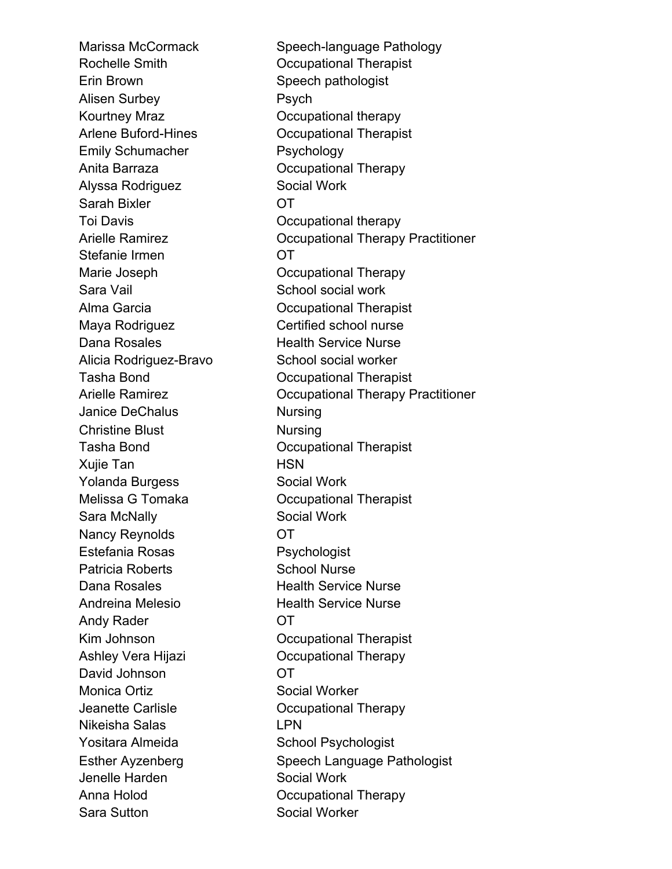Marissa McCormack Speech-language Pathology Erin Brown Speech pathologist Alisen Surbey **Psych** Kourtney Mraz Cocupational therapy Emily Schumacher Psychology Anita Barraza **Disk Communist Communist Communist Communist Communist Communist Communist Communist Communist Communist Communist Communist Communist Communist Communist Communist Communist Communist Communist Communist Co** Alyssa Rodriguez **Social Work** Sarah Bixler **OT** Toi Davis Occupational therapy Stefanie Irmen **OT** Marie Joseph **Occupational Therapy** Sara Vail Sara Vail School social work Maya Rodriguez **Certified school nurse** Dana Rosales **Health Service Nurse** Alicia Rodriguez-Bravo School social worker Janice DeChalus Nursing Christine Blust Nursing Xujie Tan **HSN** Yolanda Burgess Social Work Sara McNally Social Work Nancy Reynolds **OT** Estefania Rosas Psychologist Patricia Roberts School Nurse Dana Rosales **Health Service Nurse** Andreina Melesio **Health Service Nurse** Andy Rader **OT** Ashley Vera Hijazi Occupational Therapy David Johnson **OT** Monica Ortiz **Social Worker** Jeanette Carlisle Occupational Therapy Nikeisha Salas LPN Yositara Almeida School Psychologist Jenelle Harden Social Work Anna Holod **Communist Communist Communist Communist Communist Communist Communist Communist Communist Communist Communist Communist Communist Communist Communist Communist Communist Communist Communist Communist Communist** Sara Sutton Social Worker

Rochelle Smith **Communist** Occupational Therapist Arlene Buford-Hines Occupational Therapist Arielle Ramirez **Communist Communist Arielle Ramirez** Occupational Therapy Practitioner Alma Garcia Occupational Therapist Tasha Bond Occupational Therapist Arielle Ramirez **Communist Communist Arielle Ramirez** Occupational Therapy Practitioner Tasha Bond Occupational Therapist Melissa G Tomaka **C** Cocupational Therapist Kim Johnson **Communist** Occupational Therapist Esther Ayzenberg Speech Language Pathologist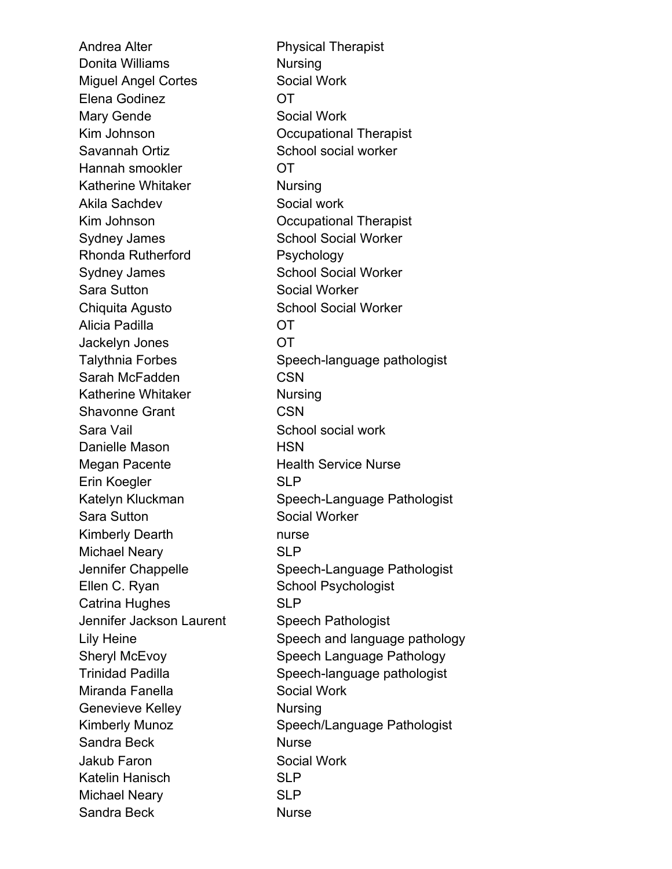Andrea Alter **Physical Therapist** Donita Williams Nursing Miguel Angel Cortes Social Work Elena Godinez **OT** Mary Gende Social Work Kim Johnson **Communist** Occupational Therapist Savannah Ortiz School social worker Hannah smookler **OT** Katherine Whitaker Nursing Akila Sachdev Social work Kim Johnson **Communist** Occupational Therapist Sydney James School Social Worker Rhonda Rutherford Psychology Sydney James School Social Worker Sara Sutton Social Worker Chiquita Agusto School Social Worker Alicia Padilla OT Jackelyn Jones OT Sarah McFadden CSN Katherine Whitaker Nursing Shavonne Grant CSN Sara Vail **Sara Vail** School social work Danielle Mason **HSN** Megan Pacente Health Service Nurse Erin Koegler SLP Sara Sutton Social Worker Kimberly Dearth **nurse** Michael Neary SLP Ellen C. Ryan School Psychologist Catrina Hughes SLP Jennifer Jackson Laurent Speech Pathologist Miranda Fanella Social Work Genevieve Kelley **Nursing** Sandra Beck Nurse Jakub Faron Social Work Katelin Hanisch SLP Michael Neary SLP Sandra Beck Nurse

Talythnia Forbes Speech-language pathologist Katelyn Kluckman Speech-Language Pathologist Jennifer Chappelle Speech-Language Pathologist Lily Heine Speech and language pathology Sheryl McEvoy Speech Language Pathology Trinidad Padilla Speech-language pathologist Kimberly Munoz Speech/Language Pathologist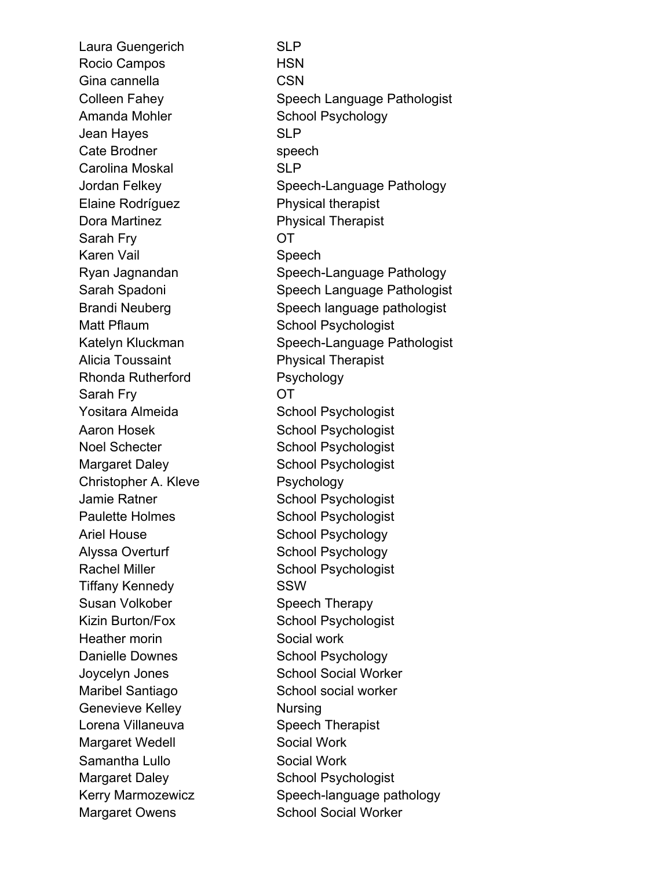Laura Guengerich SLP Rocio Campos HSN Gina cannella CSN Amanda Mohler School Psychology Jean Hayes SLP Cate Brodner speech Carolina Moskal SLP Elaine Rodríguez Physical therapist Dora Martinez **Physical Therapist** Sarah Fry **OT** Karen Vail **Speech** Matt Pflaum School Psychologist Alicia Toussaint **Physical Therapist** Rhonda Rutherford Psychology Sarah Fry **OT** Yositara Almeida School Psychologist Aaron Hosek School Psychologist Noel Schecter School Psychologist Margaret Daley School Psychologist Christopher A. Kleve Psychology Jamie Ratner School Psychologist Paulette Holmes School Psychologist Ariel House School Psychology Alyssa Overturf School Psychology Rachel Miller School Psychologist Tiffany Kennedy **SSW** Susan Volkober Speech Therapy Kizin Burton/Fox School Psychologist Heather morin Social work Danielle Downes School Psychology Maribel Santiago School social worker Genevieve Kelley Nursing Lorena Villaneuva<br>
Speech Therapist Margaret Wedell Social Work Samantha Lullo Social Work Margaret Daley School Psychologist Margaret Owens School Social Worker

Colleen Fahey Speech Language Pathologist Jordan Felkey Speech-Language Pathology Ryan Jagnandan Speech-Language Pathology Sarah Spadoni Sarah Spadoni Speech Language Pathologist Brandi Neuberg Speech language pathologist Katelyn Kluckman Speech-Language Pathologist Joycelyn Jones School Social Worker Kerry Marmozewicz Speech-language pathology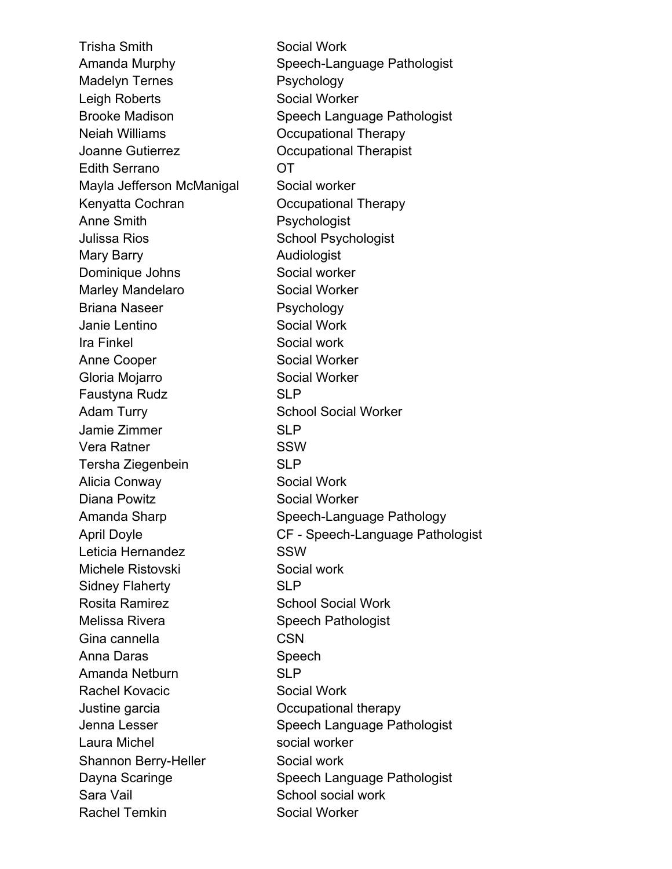Trisha Smith Social Work Madelyn Ternes Psychology Leigh Roberts Social Worker Neiah Williams Occupational Therapy Joanne Gutierrez Occupational Therapist Edith Serrano OT Mayla Jefferson McManigal Social worker Kenyatta Cochran **Communist Coccupational Therapy** Anne Smith **Psychologist** Julissa Rios **School Psychologist** Mary Barry **Audiologist** Dominique Johns Social worker Marley Mandelaro **Social Worker** Briana Naseer Psychology Janie Lentino Social Work Ira Finkel Social work Anne Cooper Social Worker Gloria Mojarro Social Worker Faustyna Rudz SLP Adam Turry School Social Worker Jamie Zimmer SLP Vera Ratner SSW Tersha Ziegenbein SLP Alicia Conway Social Work Diana Powitz Social Worker Leticia Hernandez SSW Michele Ristovski Social work Sidney Flaherty SLP Rosita Ramirez School Social Work Melissa Rivera Speech Pathologist Gina cannella CSN Anna Daras Speech Amanda Netburn SLP Rachel Kovacic Social Work Justine garcia Occupational therapy Laura Michel **Social worker** social worker Shannon Berry-Heller Social work Sara Vail Sara Vail School social work Rachel Temkin Social Worker

Amanda Murphy Speech-Language Pathologist Brooke Madison Speech Language Pathologist Amanda Sharp Speech-Language Pathology April Doyle CF - Speech-Language Pathologist Jenna Lesser Speech Language Pathologist Dayna Scaringe Speech Language Pathologist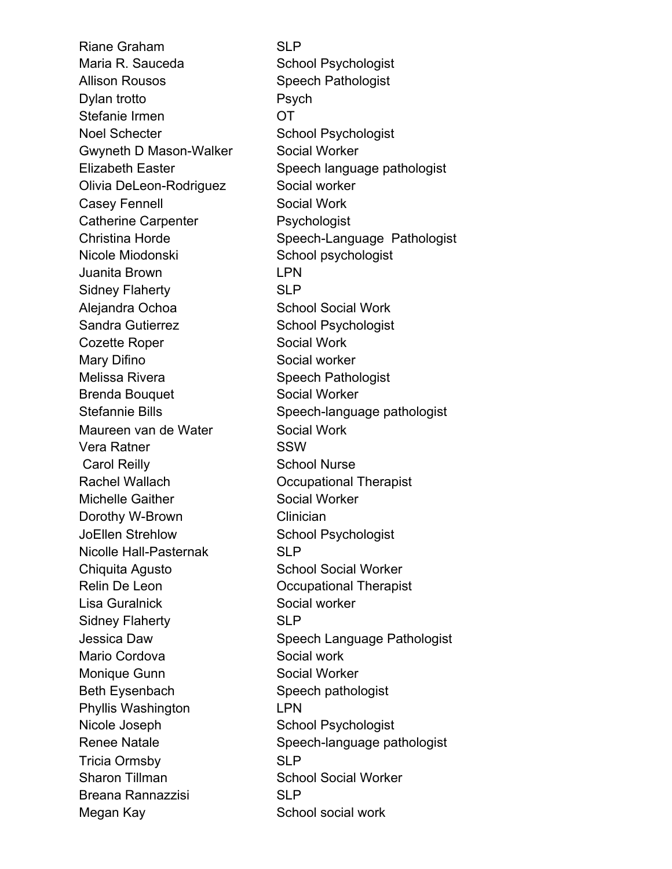Riane Graham SLP Maria R. Sauceda School Psychologist Allison Rousos Speech Pathologist Dylan trotto **Psych** Stefanie Irmen **OT** Noel Schecter School Psychologist Gwyneth D Mason-Walker Social Worker Olivia DeLeon-Rodriguez Social worker Casey Fennell Social Work Catherine Carpenter **Psychologist** Nicole Miodonski School psychologist Juanita Brown LPN Sidney Flaherty SLP Alejandra Ochoa School Social Work Sandra Gutierrez School Psychologist Cozette Roper Social Work Mary Difino Social worker Melissa Rivera Speech Pathologist Brenda Bouquet Social Worker Maureen van de Water Social Work Vera Ratner SSW Carol Reilly School Nurse Rachel Wallach **December Contact Contact Presenting Contact Presenting Contact Present** Occupational Therapist Michelle Gaither Social Worker Dorothy W-Brown Clinician JoEllen Strehlow School Psychologist Nicolle Hall-Pasternak SLP Chiquita Agusto School Social Worker Relin De Leon **Communist** Occupational Therapist Lisa Guralnick Social worker Sidney Flaherty SLP Mario Cordova Social work Monique Gunn Social Worker Beth Eysenbach Speech pathologist Phyllis Washington LPN Nicole Joseph School Psychologist Tricia Ormsby SLP Sharon Tillman School Social Worker Breana Rannazzisi SLP Megan Kay **School social work** School social work

Elizabeth Easter Speech language pathologist Christina Horde Speech-Language Pathologist Stefannie Bills Speech-language pathologist Jessica Daw Speech Language Pathologist Renee Natale Speech-language pathologist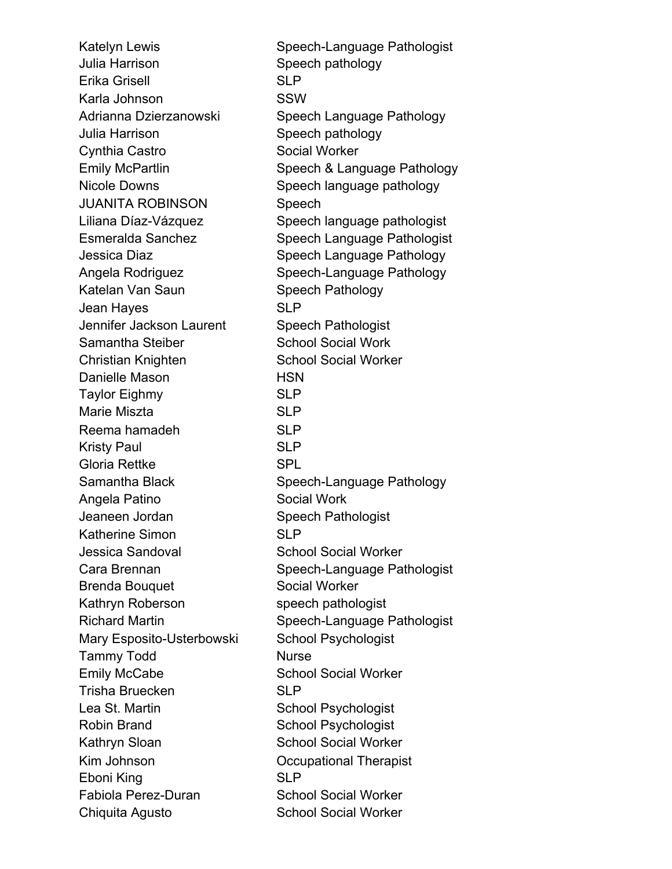Katelyn Lewis **Speech-Language Pathologist** Julia Harrison Speech pathology Erika Grisell **SLP** Karla Johnson SSW Adrianna Dzierzanowski Speech Language Pathology Julia Harrison Speech pathology Cynthia Castro Social Worker Emily McPartlin Speech & Language Pathology Nicole Downs Speech language pathology JUANITA ROBINSON Speech Liliana Díaz-Vázquez Speech language pathologist Esmeralda Sanchez Speech Language Pathologist Jessica Diaz Speech Language Pathology Angela Rodriguez Speech-Language Pathology Katelan Van Saun Speech Pathology Jean Hayes SLP Jennifer Jackson Laurent Speech Pathologist Samantha Steiber School Social Work Christian Knighten School Social Worker Danielle Mason **HSN** Taylor Eighmy SLP Marie Miszta **SLP** Reema hamadeh SLP Kristy Paul SLP Gloria Rettke SPL Samantha Black Speech-Language Pathology Angela Patino Social Work Jeaneen Jordan Speech Pathologist Katherine Simon SLP Jessica Sandoval **School Social Worker** Cara Brennan Speech-Language Pathologist Brenda Bouquet Social Worker Kathryn Roberson speech pathologist Richard Martin Speech-Language Pathologist Mary Esposito-Usterbowski School Psychologist Tammy Todd Nurse Emily McCabe School Social Worker Trisha Bruecken SLP Lea St. Martin School Psychologist Robin Brand School Psychologist Kathryn Sloan School Social Worker Kim Johnson **Communist** Occupational Therapist Eboni King SLP Fabiola Perez-Duran School Social Worker Chiquita Agusto School Social Worker